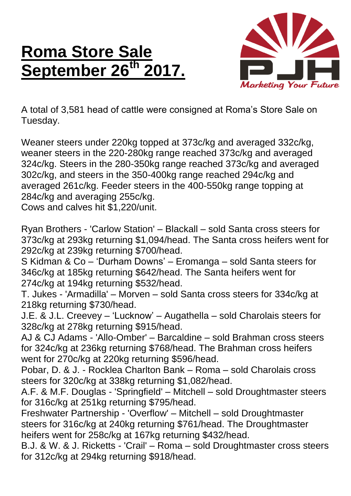## **Roma Store Sale September 26th 2017.**



A total of 3,581 head of cattle were consigned at Roma's Store Sale on Tuesday.

Weaner steers under 220kg topped at 373c/kg and averaged 332c/kg, weaner steers in the 220-280kg range reached 373c/kg and averaged 324c/kg. Steers in the 280-350kg range reached 373c/kg and averaged 302c/kg, and steers in the 350-400kg range reached 294c/kg and averaged 261c/kg. Feeder steers in the 400-550kg range topping at 284c/kg and averaging 255c/kg.

Cows and calves hit \$1,220/unit.

Ryan Brothers - 'Carlow Station' – Blackall – sold Santa cross steers for 373c/kg at 293kg returning \$1,094/head. The Santa cross heifers went for 292c/kg at 239kg returning \$700/head.

S Kidman & Co – 'Durham Downs' – Eromanga – sold Santa steers for 346c/kg at 185kg returning \$642/head. The Santa heifers went for 274c/kg at 194kg returning \$532/head.

T. Jukes - 'Armadilla' – Morven – sold Santa cross steers for 334c/kg at 218kg returning \$730/head.

J.E. & J.L. Creevey – 'Lucknow' – Augathella – sold Charolais steers for 328c/kg at 278kg returning \$915/head.

AJ & CJ Adams - 'Allo-Omber' – Barcaldine – sold Brahman cross steers for 324c/kg at 236kg returning \$768/head. The Brahman cross heifers went for 270c/kg at 220kg returning \$596/head.

Pobar, D. & J. - Rocklea Charlton Bank – Roma – sold Charolais cross steers for 320c/kg at 338kg returning \$1,082/head.

A.F. & M.F. Douglas - 'Springfield' – Mitchell – sold Droughtmaster steers for 316c/kg at 251kg returning \$795/head.

Freshwater Partnership - 'Overflow' – Mitchell – sold Droughtmaster steers for 316c/kg at 240kg returning \$761/head. The Droughtmaster heifers went for 258c/kg at 167kg returning \$432/head.

B.J. & W. & J. Ricketts - 'Crail' – Roma – sold Droughtmaster cross steers for 312c/kg at 294kg returning \$918/head.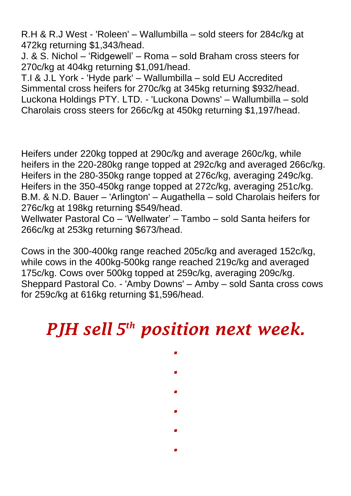R.H & R.J West - 'Roleen' – Wallumbilla – sold steers for 284c/kg at 472kg returning \$1,343/head.

J. & S. Nichol – 'Ridgewell' – Roma – sold Braham cross steers for 270c/kg at 404kg returning \$1,091/head.

T.I & J.L York - 'Hyde park' – Wallumbilla – sold EU Accredited Simmental cross heifers for 270c/kg at 345kg returning \$932/head. Luckona Holdings PTY. LTD. - 'Luckona Downs' – Wallumbilla – sold Charolais cross steers for 266c/kg at 450kg returning \$1,197/head.

Heifers under 220kg topped at 290c/kg and average 260c/kg, while heifers in the 220-280kg range topped at 292c/kg and averaged 266c/kg. Heifers in the 280-350kg range topped at 276c/kg, averaging 249c/kg. Heifers in the 350-450kg range topped at 272c/kg, averaging 251c/kg. B.M. & N.D. Bauer – 'Arlington' – Augathella – sold Charolais heifers for 276c/kg at 198kg returning \$549/head.

Wellwater Pastoral Co – 'Wellwater' – Tambo – sold Santa heifers for 266c/kg at 253kg returning \$673/head.

Cows in the 300-400kg range reached 205c/kg and averaged 152c/kg, while cows in the 400kg-500kg range reached 219c/kg and averaged 175c/kg. Cows over 500kg topped at 259c/kg, averaging 209c/kg. Sheppard Pastoral Co. - 'Amby Downs' – Amby – sold Santa cross cows for 259c/kg at 616kg returning \$1,596/head.

## *PJH sell 5 th position next week.*

*.*

*.*

*.*

*.*

*.*

*.*